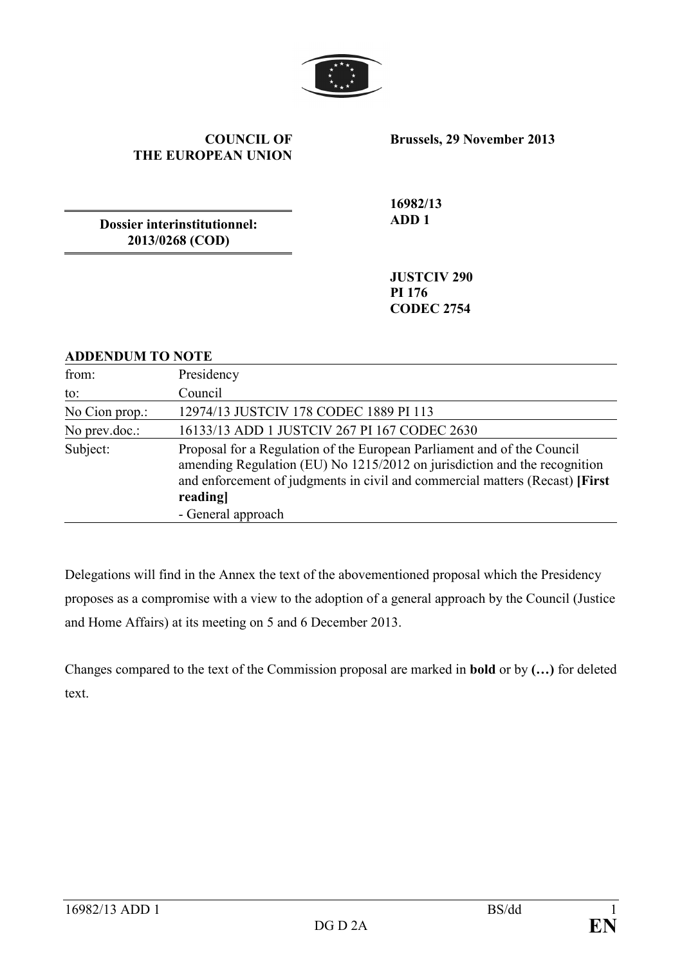

#### **COUNCIL OF THE EUROPEAN UNION**

**Brussels, 29 November 2013** 

**Dossier interinstitutionnel: 2013/0268 (COD)** 

**16982/13 ADD 1** 

**JUSTCIV 290 PI 176 CODEC 2754** 

### **ADDENDUM TO NOTE**

| from:          | Presidency                                                                                                                                                                                                                                                             |
|----------------|------------------------------------------------------------------------------------------------------------------------------------------------------------------------------------------------------------------------------------------------------------------------|
| to:            | Council                                                                                                                                                                                                                                                                |
| No Cion prop.: | 12974/13 JUSTCIV 178 CODEC 1889 PI 113                                                                                                                                                                                                                                 |
| No prev.doc.:  | 16133/13 ADD 1 JUSTCIV 267 PI 167 CODEC 2630                                                                                                                                                                                                                           |
| Subject:       | Proposal for a Regulation of the European Parliament and of the Council<br>amending Regulation (EU) No 1215/2012 on jurisdiction and the recognition<br>and enforcement of judgments in civil and commercial matters (Recast) [First]<br>reading<br>- General approach |

Delegations will find in the Annex the text of the abovementioned proposal which the Presidency proposes as a compromise with a view to the adoption of a general approach by the Council (Justice and Home Affairs) at its meeting on 5 and 6 December 2013.

Changes compared to the text of the Commission proposal are marked in **bold** or by **(…)** for deleted text.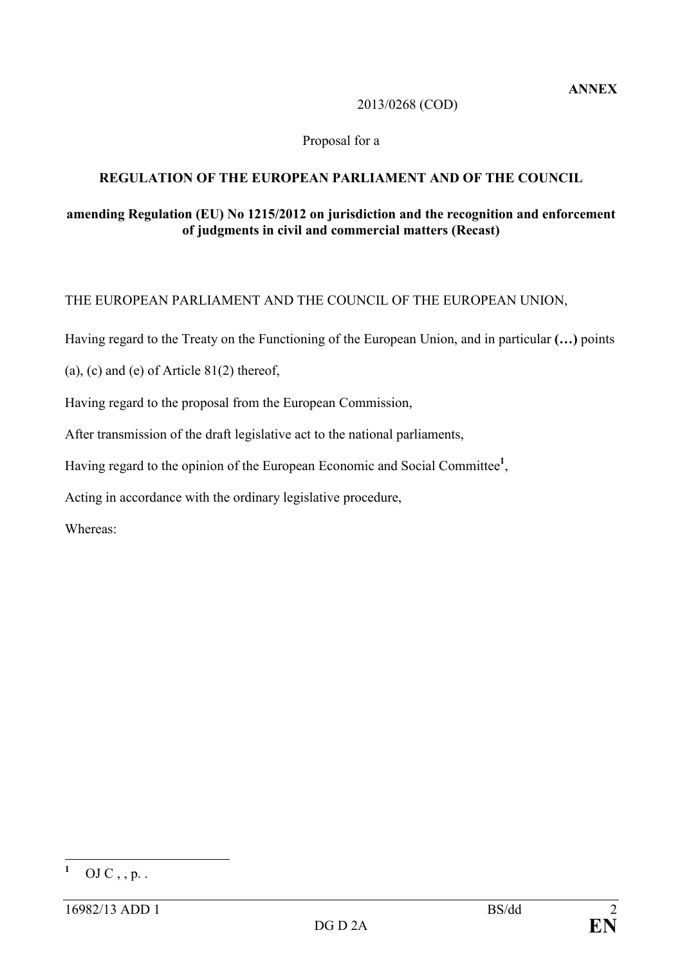### 2013/0268 (COD)

## Proposal for a

# **REGULATION OF THE EUROPEAN PARLIAMENT AND OF THE COUNCIL**

## amending Regulation (EU) No 1215/2012 on jurisdiction and the recognition and enforcement **of judgments in civil and commercial matters (Recast)**

# THE EUROPEAN PARLIAMENT AND THE COUNCIL OF THE EUROPEAN UNION,

Having regard to the Treaty on the Functioning of the European Union, and in particular **(…)** points

(a), (c) and (e) of Article  $81(2)$  thereof,

Having regard to the proposal from the European Commission,

After transmission of the draft legislative act to the national parliaments,

Having regard to the opinion of the European Economic and Social Committee**<sup>1</sup>** ,

Acting in accordance with the ordinary legislative procedure,

Whereas:

 **1** OJ  $C$ ,  $p$ .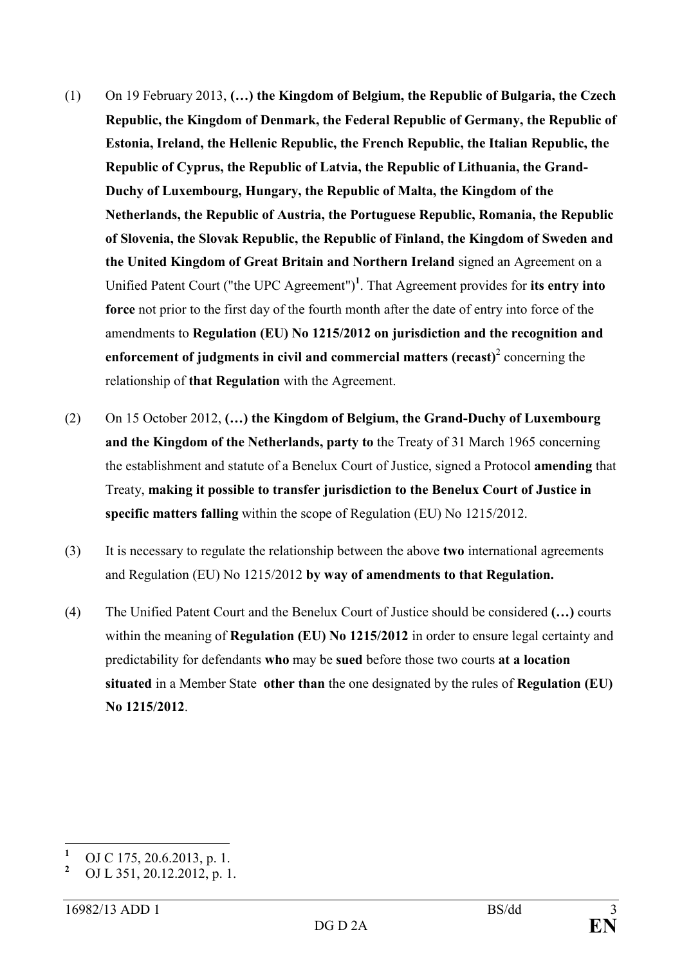- (1) On 19 February 2013, **(…) the Kingdom of Belgium, the Republic of Bulgaria, the Czech Republic, the Kingdom of Denmark, the Federal Republic of Germany, the Republic of Estonia, Ireland, the Hellenic Republic, the French Republic, the Italian Republic, the Republic of Cyprus, the Republic of Latvia, the Republic of Lithuania, the Grand-Duchy of Luxembourg, Hungary, the Republic of Malta, the Kingdom of the etherlands, the Republic of Austria, the Portuguese Republic, Romania, the Republic of Slovenia, the Slovak Republic, the Republic of Finland, the Kingdom of Sweden and**  the United Kingdom of Great Britain and Northern Ireland signed an Agreement on a Unified Patent Court ("the UPC Agreement")**<sup>1</sup>** . That Agreement provides for **its entry into force** not prior to the first day of the fourth month after the date of entry into force of the amendments to **Regulation** (EU) No 1215/2012 on jurisdiction and the recognition and enforcement of judgments in civil and commercial matters (recast)<sup>2</sup> concerning the relationship of **that Regulation** with the Agreement.
- (2) On 15 October 2012, **(…) the Kingdom of Belgium, the Grand-Duchy of Luxembourg**  and the Kingdom of the Netherlands, party to the Treaty of 31 March 1965 concerning the establishment and statute of a Benelux Court of Justice, signed a Protocol **amending** that Treaty, **making it possible to transfer jurisdiction to the Benelux Court of Justice in specific matters falling** within the scope of Regulation (EU) No 1215/2012.
- (3) It is necessary to regulate the relationship between the above **two** international agreements and Regulation (EU) No 1215/2012 **by way of amendments to that Regulation.**
- (4) The Unified Patent Court and the Benelux Court of Justice should be considered **(…)** courts within the meaning of **Regulation (EU) No 1215/2012** in order to ensure legal certainty and predictability for defendants **who** may be **sued** before those two courts **at a location situated** in a Member State **other than** the one designated by the rules of **Regulation (EU) o 1215/2012**.

 **1** OJ C 175, 20.6.2013, p. 1.

**<sup>2</sup>** OJ L 351, 20.12.2012, p. 1.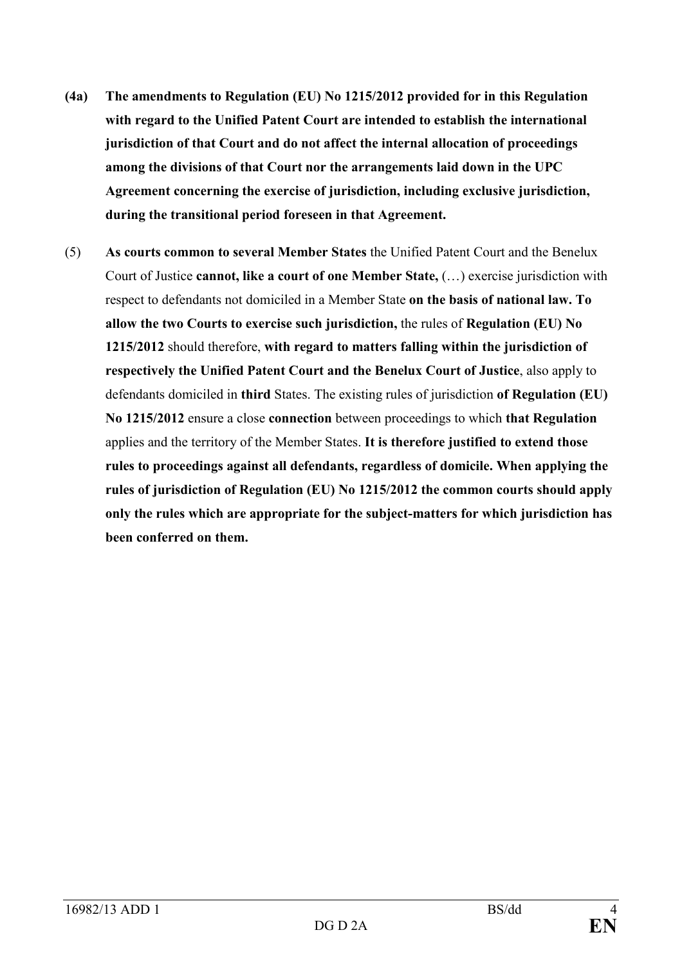- **(4a) The amendments to Regulation (EU) o 1215/2012 provided for in this Regulation with regard to the Unified Patent Court are intended to establish the international jurisdiction of that Court and do not affect the internal allocation of proceedings among the divisions of that Court nor the arrangements laid down in the UPC Agreement concerning the exercise of jurisdiction, including exclusive jurisdiction, during the transitional period foreseen in that Agreement.**
- (5) **As courts common to several Member States** the Unified Patent Court and the Benelux Court of Justice **cannot, like a court of one Member State,** (…) exercise jurisdiction with respect to defendants not domiciled in a Member State **on the basis of national law. To allow the two Courts to exercise such jurisdiction, the rules of Regulation (EU) No 1215/2012** should therefore, **with regard to matters falling within the jurisdiction of respectively the Unified Patent Court and the Benelux Court of Justice**, also apply to defendants domiciled in **third** States. The existing rules of jurisdiction **of Regulation (EU) o 1215/2012** ensure a close **connection** between proceedings to which **that Regulation** applies and the territory of the Member States. **It is therefore justified to extend those rules to proceedings against all defendants, regardless of domicile. When applying the**  rules of jurisdiction of Regulation (EU) No 1215/2012 the common courts should apply **only the rules which are appropriate for the subject-matters for which jurisdiction has been conferred on them.**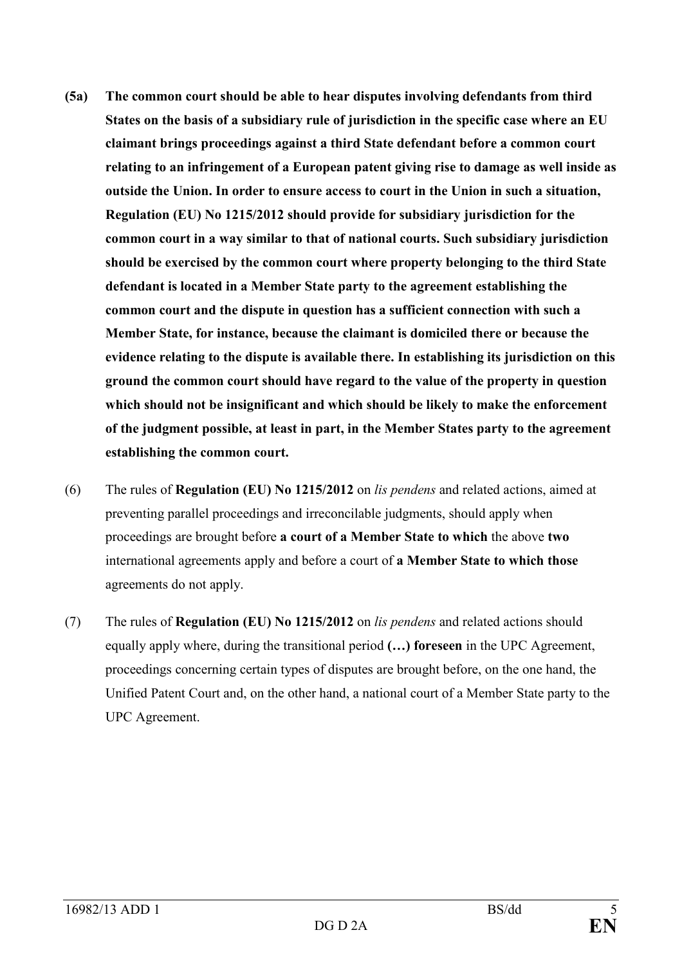- **(5a) The common court should be able to hear disputes involving defendants from third States on the basis of a subsidiary rule of jurisdiction in the specific case where an EU claimant brings proceedings against a third State defendant before a common court relating to an infringement of a European patent giving rise to damage as well inside as outside the Union. In order to ensure access to court in the Union in such a situation, Regulation (EU) No 1215/2012 should provide for subsidiary jurisdiction for the common court in a way similar to that of national courts. Such subsidiary jurisdiction should be exercised by the common court where property belonging to the third State defendant is located in a Member State party to the agreement establishing the common court and the dispute in question has a sufficient connection with such a Member State, for instance, because the claimant is domiciled there or because the evidence relating to the dispute is available there. In establishing its jurisdiction on this ground the common court should have regard to the value of the property in question which should not be insignificant and which should be likely to make the enforcement of the judgment possible, at least in part, in the Member States party to the agreement establishing the common court.**
- (6) The rules of **Regulation (EU) No 1215/2012** on *lis pendens* and related actions, aimed at preventing parallel proceedings and irreconcilable judgments, should apply when proceedings are brought before **a court of a Member State to which** the above **two** international agreements apply and before a court of **a Member State to which those** agreements do not apply.
- (7) The rules of **Regulation (EU) o 1215/2012** on *lis pendens* and related actions should equally apply where, during the transitional period **(…) foreseen** in the UPC Agreement, proceedings concerning certain types of disputes are brought before, on the one hand, the Unified Patent Court and, on the other hand, a national court of a Member State party to the UPC Agreement.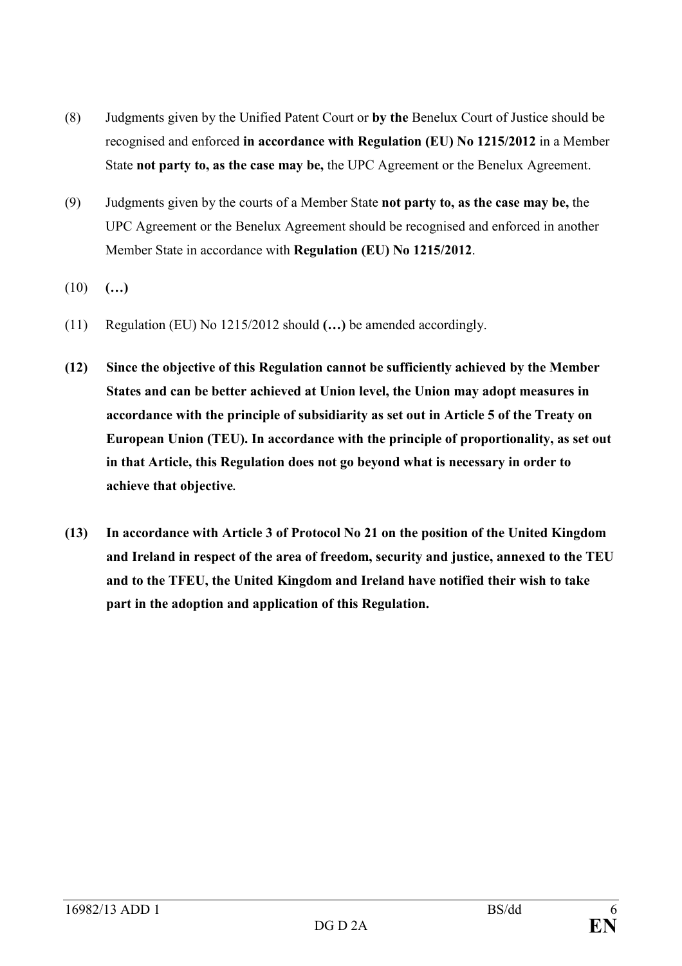- (8) Judgments given by the Unified Patent Court or **by the** Benelux Court of Justice should be recognised and enforced in accordance with Regulation (EU) No 1215/2012 in a Member State **not party to, as the case may be,** the UPC Agreement or the Benelux Agreement.
- (9) Judgments given by the courts of a Member State **not party to, as the case may be,** the UPC Agreement or the Benelux Agreement should be recognised and enforced in another Member State in accordance with **Regulation (EU) No 1215/2012**.
- (10) **(…)**
- (11) Regulation (EU) No 1215/2012 should **(…)** be amended accordingly.
- **(12) Since the objective of this Regulation cannot be sufficiently achieved by the Member States and can be better achieved at Union level, the Union may adopt measures in accordance with the principle of subsidiarity as set out in Article 5 of the Treaty on European Union (TEU). In accordance with the principle of proportionality, as set out in that Article, this Regulation does not go beyond what is necessary in order to achieve that objective.**
- (13) In accordance with Article 3 of Protocol No 21 on the position of the United Kingdom **and Ireland in respect of the area of freedom, security and justice, annexed to the TEU and to the TFEU, the United Kingdom and Ireland have notified their wish to take part in the adoption and application of this Regulation.**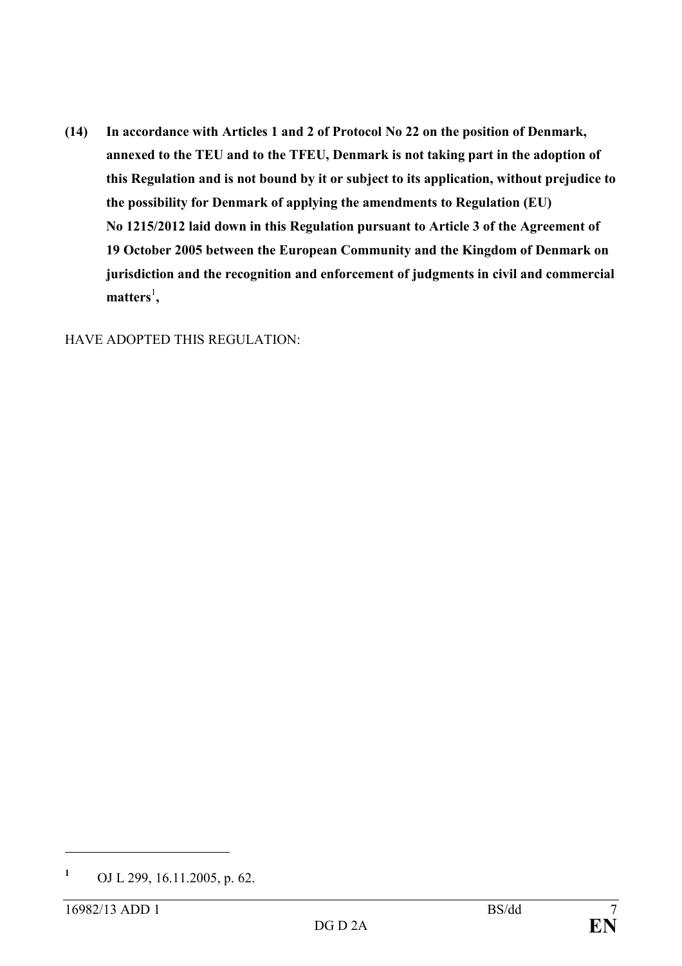(14) In accordance with Articles 1 and 2 of Protocol No 22 on the position of Denmark, **annexed to the TEU and to the TFEU, Denmark is not taking part in the adoption of this Regulation and is not bound by it or subject to its application, without prejudice to the possibility for Denmark of applying the amendments to Regulation (EU) o 1215/2012 laid down in this Regulation pursuant to Article 3 of the Agreement of 19 October 2005 between the European Community and the Kingdom of Denmark on jurisdiction and the recognition and enforcement of judgments in civil and commercial**  matters<sup>1</sup>,

HAVE ADOPTED THIS REGULATION:

 $\overline{a}$ 

**<sup>1</sup>** OJ L 299, 16.11.2005, p. 62.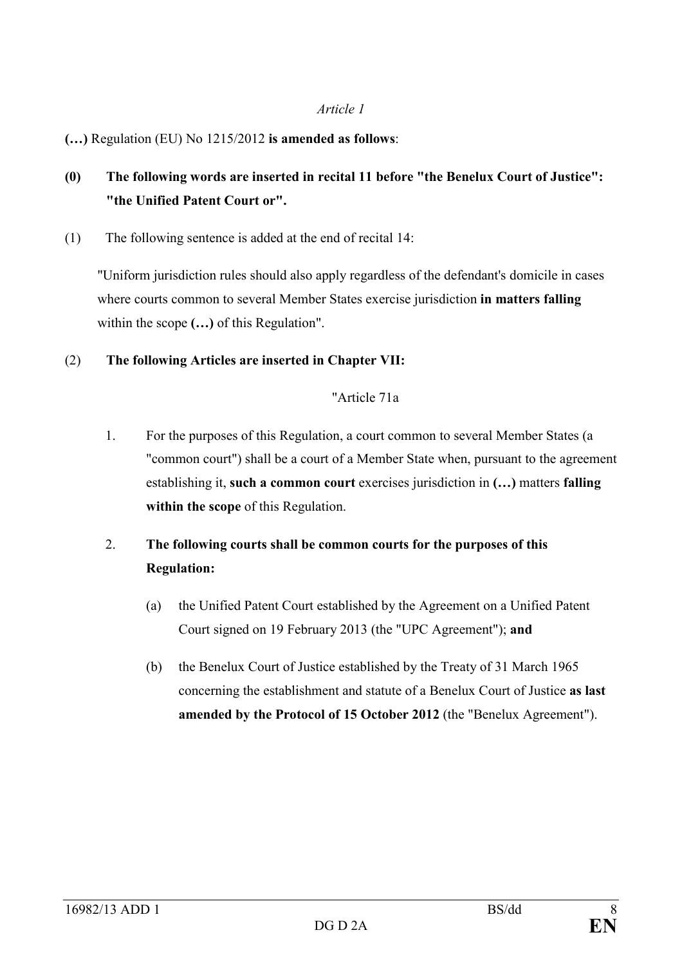### *Article 1*

## **(…)** Regulation (EU) No 1215/2012 **is amended as follows**:

# **(0) The following words are inserted in recital 11 before "the Benelux Court of Justice": "the Unified Patent Court or".**

(1) The following sentence is added at the end of recital 14:

"Uniform jurisdiction rules should also apply regardless of the defendant's domicile in cases where courts common to several Member States exercise jurisdiction **in matters falling** within the scope **(…)** of this Regulation".

### (2) **The following Articles are inserted in Chapter VII:**

### "Article 71a

1. For the purposes of this Regulation, a court common to several Member States (a "common court") shall be a court of a Member State when, pursuant to the agreement establishing it, **such a common court** exercises jurisdiction in **(…)** matters **falling within the scope** of this Regulation.

# 2. **The following courts shall be common courts for the purposes of this Regulation:**

- (a) the Unified Patent Court established by the Agreement on a Unified Patent Court signed on 19 February 2013 (the "UPC Agreement"); **and**
- (b) the Benelux Court of Justice established by the Treaty of 31 March 1965 concerning the establishment and statute of a Benelux Court of Justice **as last amended by the Protocol of 15 October 2012** (the "Benelux Agreement").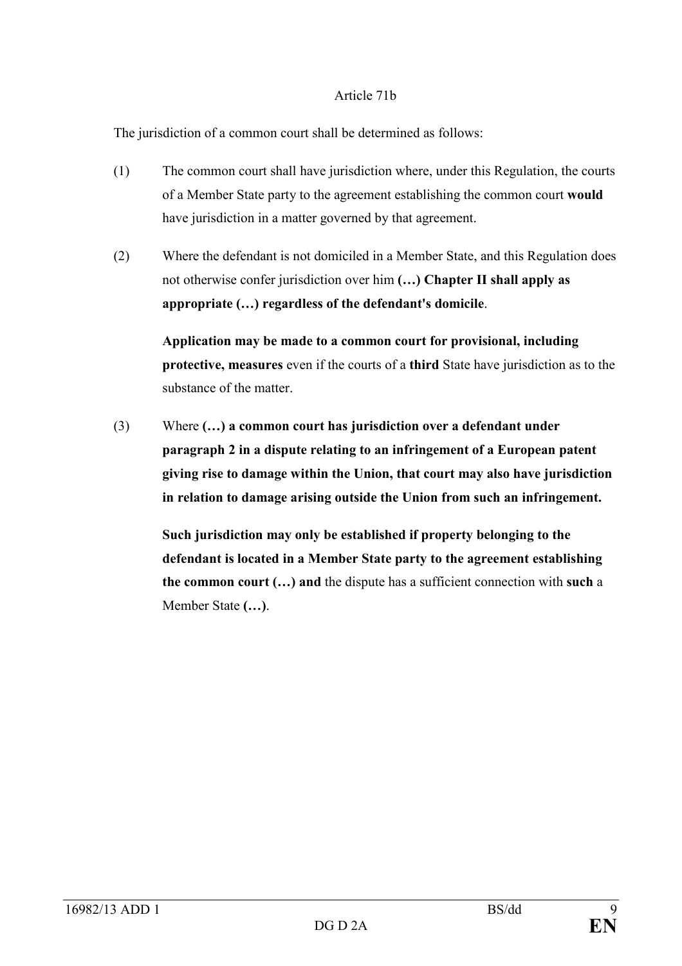### Article 71b

The jurisdiction of a common court shall be determined as follows:

- (1) The common court shall have jurisdiction where, under this Regulation, the courts of a Member State party to the agreement establishing the common court **would**  have jurisdiction in a matter governed by that agreement.
- (2) Where the defendant is not domiciled in a Member State, and this Regulation does not otherwise confer jurisdiction over him **(…) Chapter II shall apply as appropriate (…) regardless of the defendant's domicile**.

**Application may be made to a common court for provisional, including protective, measures** even if the courts of a **third** State have jurisdiction as to the substance of the matter.

(3) Where **(…) a common court has jurisdiction over a defendant under paragraph 2 in a dispute relating to an infringement of a European patent giving rise to damage within the Union, that court may also have jurisdiction in relation to damage arising outside the Union from such an infringement.**

 **Such jurisdiction may only be established if property belonging to the defendant is located in a Member State party to the agreement establishing the common court (…) and** the dispute has a sufficient connection with **such** a Member State **(…)**.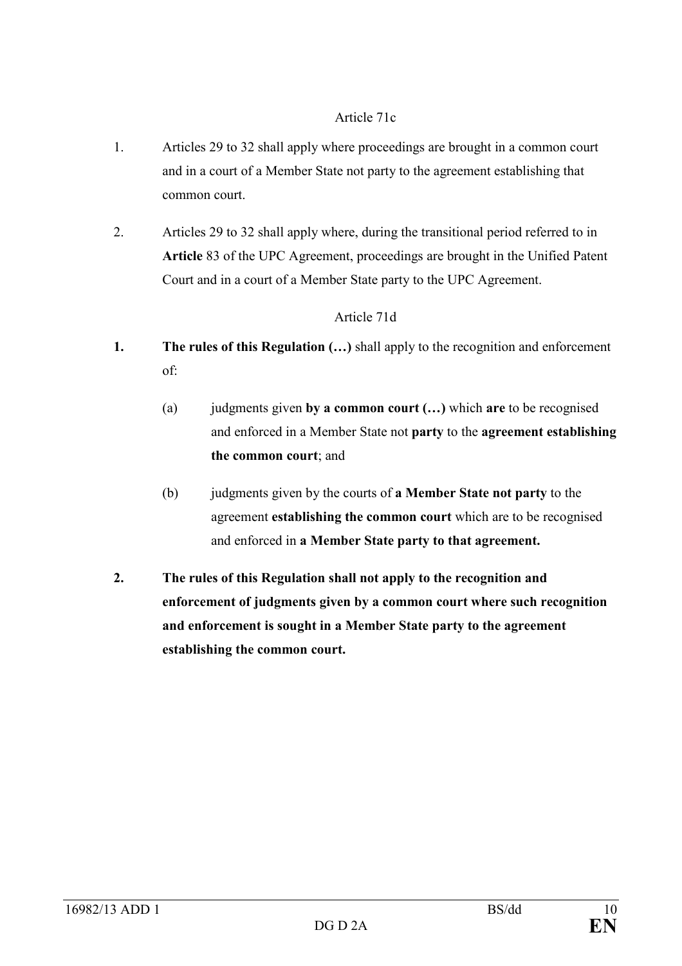## Article 71c

- 1. Articles 29 to 32 shall apply where proceedings are brought in a common court and in a court of a Member State not party to the agreement establishing that common court.
- 2. Articles 29 to 32 shall apply where, during the transitional period referred to in **Article** 83 of the UPC Agreement, proceedings are brought in the Unified Patent Court and in a court of a Member State party to the UPC Agreement.

## Article 71d

- **1. The rules of this Regulation (…)** shall apply to the recognition and enforcement of:
	- (a) judgments given **by a common court (…)** which **are** to be recognised and enforced in a Member State not **party** to the **agreement establishing the common court**; and
	- (b) judgments given by the courts of **a Member State not party** to the agreement **establishing the common court** which are to be recognised and enforced in **a Member State party to that agreement.**
- **2. The rules of this Regulation shall not apply to the recognition and enforcement of judgments given by a common court where such recognition and enforcement is sought in a Member State party to the agreement establishing the common court.**